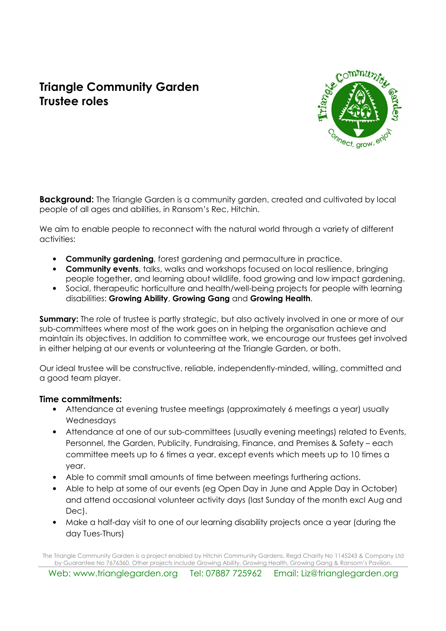# Triangle Community Garden Trustee roles



**Background:** The Triangle Garden is a community garden, created and cultivated by local people of all ages and abilities, in Ransom's Rec, Hitchin.

We aim to enable people to reconnect with the natural world through a variety of different activities:

- Community gardening, forest gardening and permaculture in practice.
- Community events, talks, walks and workshops focused on local resilience, bringing people together, and learning about wildlife, food growing and low impact gardening.
- Social, therapeutic horticulture and health/well-being projects for people with learning disabilities: Growing Ability, Growing Gang and Growing Health.

**Summary:** The role of trustee is partly strategic, but also actively involved in one or more of our sub-committees where most of the work goes on in helping the organisation achieve and maintain its objectives. In addition to committee work, we encourage our trustees get involved in either helping at our events or volunteering at the Triangle Garden, or both.

Our ideal trustee will be constructive, reliable, independently-minded, willing, committed and a good team player.

#### Time commitments:

- Attendance at evening trustee meetings (approximately 6 meetings a year) usually Wednesdays
- Attendance at one of our sub-committees (usually evening meetings) related to Events, Personnel, the Garden, Publicity, Fundraising, Finance, and Premises & Safety – each committee meets up to 6 times a year, except events which meets up to 10 times a year.
- Able to commit small amounts of time between meetings furthering actions.
- Able to help at some of our events (eg Open Day in June and Apple Day in October) and attend occasional volunteer activity days (last Sunday of the month excl Aug and Dec).
- Make a half-day visit to one of our learning disability projects once a year (during the day Tues-Thurs)

The Triangle Community Garden is a project enabled by Hitchin Community Gardens, Regd Charity No 1145243 & Company Ltd by Guarantee No 7676360, Other projects include Growing Ability, Growing Health, Growing Gang & Ransom's Pavilion.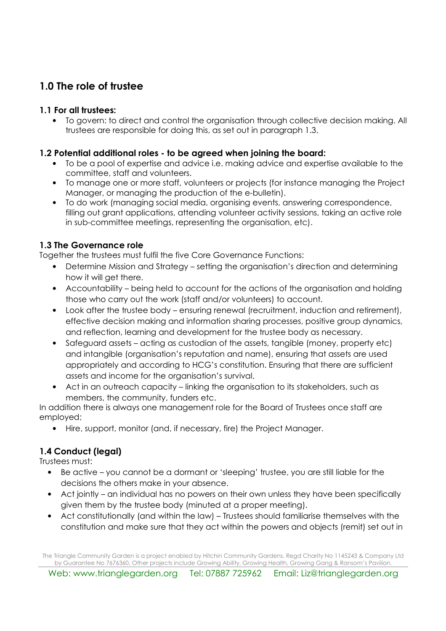# 1.0 The role of trustee

#### 1.1 For all trustees:

• To govern: to direct and control the organisation through collective decision making. All trustees are responsible for doing this, as set out in paragraph 1.3.

#### 1.2 Potential additional roles - to be agreed when joining the board:

- To be a pool of expertise and advice i.e. making advice and expertise available to the committee, staff and volunteers.
- To manage one or more staff, volunteers or projects (for instance managing the Project Manager, or managing the production of the e-bulletin).
- To do work (managing social media, organising events, answering correspondence, filling out grant applications, attending volunteer activity sessions, taking an active role in sub-committee meetings, representing the organisation, etc).

#### 1.3 The Governance role

Together the trustees must fulfil the five Core Governance Functions:

- Determine Mission and Strategy setting the organisation's direction and determining how it will get there.
- Accountability being held to account for the actions of the organisation and holding those who carry out the work (staff and/or volunteers) to account.
- Look after the trustee body ensuring renewal (recruitment, induction and retirement), effective decision making and information sharing processes, positive group dynamics, and reflection, learning and development for the trustee body as necessary.
- Safeguard assets acting as custodian of the assets, tangible (money, property etc) and intangible (organisation's reputation and name), ensuring that assets are used appropriately and according to HCG's constitution. Ensuring that there are sufficient assets and income for the organisation's survival.
- Act in an outreach capacity linking the organisation to its stakeholders, such as members, the community, funders etc.

In addition there is always one management role for the Board of Trustees once staff are employed;

• Hire, support, monitor (and, if necessary, fire) the Project Manager.

## 1.4 Conduct (legal)

Trustees must:

- Be active you cannot be a dormant or 'sleeping' trustee, you are still liable for the decisions the others make in your absence.
- Act jointly an individual has no powers on their own unless they have been specifically given them by the trustee body (minuted at a proper meeting).
- Act constitutionally (and within the law) Trustees should familiarise themselves with the constitution and make sure that they act within the powers and objects (remit) set out in

The Triangle Community Garden is a project enabled by Hitchin Community Gardens, Regd Charity No 1145243 & Company Ltd by Guarantee No 7676360, Other projects include Growing Ability, Growing Health, Growing Gang & Ransom's Pavilion.